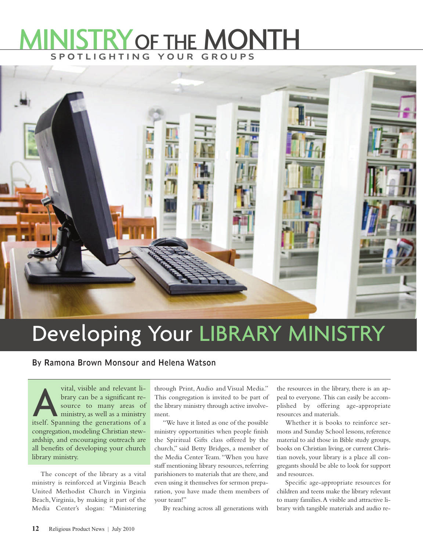## M S POTLIGHTING YOUR GROUPS **STRY OF THE MONTH**



## Developing Your LIBRARY MINISTRY

By Ramona Brown Monsour and Helena Watson

vital, visible and relevant li-<br>brary can be a significant re-<br>source to many areas of<br>ministry, as well as a ministry brary can be a significant resource to many areas of itself. Spanning the generations of a congregation, modeling Christian stewardship, and encouraging outreach are all benefits of developing your church library ministry.

The concept of the library as a vital ministry is reinforced at Virginia Beach United Methodist Church in Virginia Beach,Virginia, by making it part of the Media Center's slogan: "Ministering through Print, Audio and Visual Media." This congregation is invited to be part of the library ministry through active involvement.

"We have it listed as one of the possible ministry opportunities when people finish the Spiritual Gifts class offered by the church," said Betty Bridges, a member of the Media Center Team. "When you have staff mentioning library resources, referring parishioners to materials that are there, and even using it themselves for sermon preparation, you have made them members of your team!"

By reaching across all generations with

the resources in the library, there is an appeal to everyone. This can easily be accomplished by offering age-appropriate resources and materials.

Whether it is books to reinforce sermons and Sunday School lessons, reference material to aid those in Bible study groups, books on Christian living, or current Christian novels, your library is a place all congregants should be able to look for support and resources.

Specific age-appropriate resources for children and teens make the library relevant to many families.A visible and attractive library with tangible materials and audio re